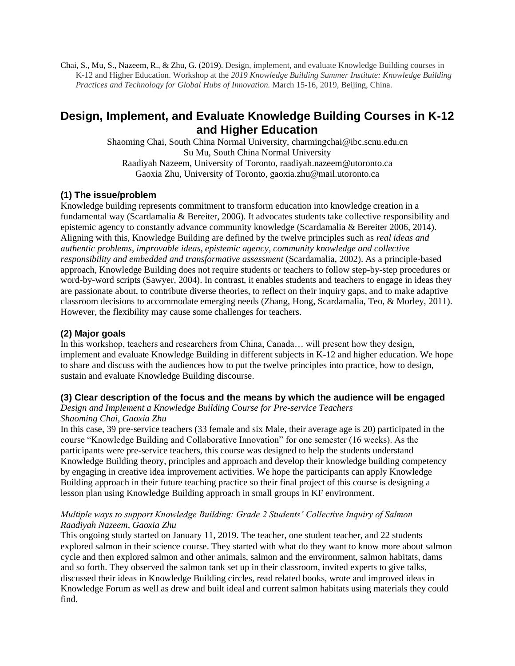Chai, S., Mu, S., Nazeem, R., & Zhu, G. (2019). Design, implement, and evaluate Knowledge Building courses in K-12 and Higher Education. Workshop at the *2019 Knowledge Building Summer Institute: Knowledge Building Practices and Technology for Global Hubs of Innovation.* March 15-16, 2019, Beijing, China.

# **Design, Implement, and Evaluate Knowledge Building Courses in K-12 and Higher Education**

Shaoming Chai, South China Normal University, [charmingchai@ibc.scnu.edu.cn](mailto:charmingchai@ibc.scnu.edu.cn) Su Mu, South China Normal University Raadiyah Nazeem, University of Toronto, raadiyah.nazeem@utoronto.ca Gaoxia Zhu, University of Toronto, gaoxia.zhu@mail.utoronto.ca

## **(1) The issue/problem**

Knowledge building represents commitment to transform education into knowledge creation in a fundamental way (Scardamalia & Bereiter, 2006). It advocates students take collective responsibility and epistemic agency to constantly advance community knowledge (Scardamalia & Bereiter 2006, 2014). Aligning with this, Knowledge Building are defined by the twelve principles such as *real ideas and authentic problems*, *improvable ideas*, *epistemic agency*, *community knowledge and collective responsibility and embedded and transformative assessment* (Scardamalia, 2002). As a principle-based approach, Knowledge Building does not require students or teachers to follow step-by-step procedures or word-by-word scripts (Sawyer, 2004). In contrast, it enables students and teachers to engage in ideas they are passionate about, to contribute diverse theories, to reflect on their inquiry gaps, and to make adaptive classroom decisions to accommodate emerging needs (Zhang, Hong, Scardamalia, Teo, & Morley, 2011). However, the flexibility may cause some challenges for teachers.

## **(2) Major goals**

In this workshop, teachers and researchers from China, Canada… will present how they design, implement and evaluate Knowledge Building in different subjects in K-12 and higher education. We hope to share and discuss with the audiences how to put the twelve principles into practice, how to design, sustain and evaluate Knowledge Building discourse.

## **(3) Clear description of the focus and the means by which the audience will be engaged**

*Design and Implement a Knowledge Building Course for Pre-service Teachers*

#### *Shaoming Chai, Gaoxia Zhu*

In this case, 39 pre-service teachers (33 female and six Male, their average age is 20) participated in the course "Knowledge Building and Collaborative Innovation" for one semester (16 weeks). As the participants were pre-service teachers, this course was designed to help the students understand Knowledge Building theory, principles and approach and develop their knowledge building competency by engaging in creative idea improvement activities. We hope the participants can apply Knowledge Building approach in their future teaching practice so their final project of this course is designing a lesson plan using Knowledge Building approach in small groups in KF environment.

### *Multiple ways to support Knowledge Building: Grade 2 Students' Collective Inquiry of Salmon Raadiyah Nazeem, Gaoxia Zhu*

This ongoing study started on January 11, 2019. The teacher, one student teacher, and 22 students explored salmon in their science course. They started with what do they want to know more about salmon cycle and then explored salmon and other animals, salmon and the environment, salmon habitats, dams and so forth. They observed the salmon tank set up in their classroom, invited experts to give talks, discussed their ideas in Knowledge Building circles, read related books, wrote and improved ideas in Knowledge Forum as well as drew and built ideal and current salmon habitats using materials they could find.